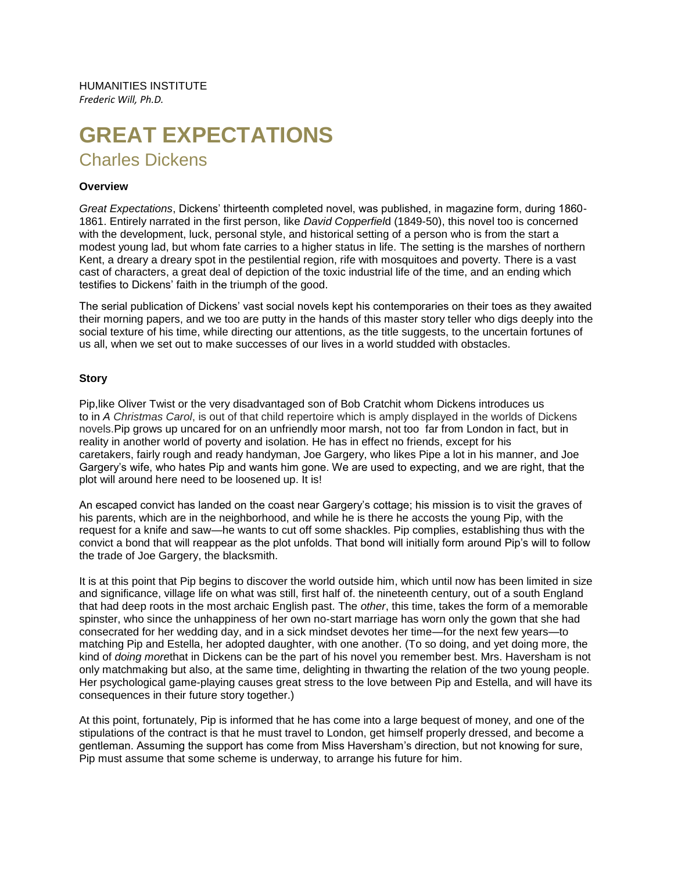HUMANITIES INSTITUTE *Frederic Will, Ph.D.*

# **GREAT EXPECTATIONS** Charles Dickens

#### **Overview**

*Great Expectations*, Dickens' thirteenth completed novel, was published, in magazine form, during 1860- 1861. Entirely narrated in the first person, like *David Copperfiel*d (1849-50), this novel too is concerned with the development, luck, personal style, and historical setting of a person who is from the start a modest young lad, but whom fate carries to a higher status in life. The setting is the marshes of northern Kent, a dreary a dreary spot in the pestilential region, rife with mosquitoes and poverty. There is a vast cast of characters, a great deal of depiction of the toxic industrial life of the time, and an ending which testifies to Dickens' faith in the triumph of the good.

The serial publication of Dickens' vast social novels kept his contemporaries on their toes as they awaited their morning papers, and we too are putty in the hands of this master story teller who digs deeply into the social texture of his time, while directing our attentions, as the title suggests, to the uncertain fortunes of us all, when we set out to make successes of our lives in a world studded with obstacles.

#### **Story**

Pip,like Oliver Twist or the very disadvantaged son of Bob Cratchit whom Dickens introduces us to in *A Christmas Carol*, is out of that child repertoire which is amply displayed in the worlds of Dickens novels.Pip grows up uncared for on an unfriendly moor marsh, not too far from London in fact, but in reality in another world of poverty and isolation. He has in effect no friends, except for his caretakers, fairly rough and ready handyman, Joe Gargery, who likes Pipe a lot in his manner, and Joe Gargery's wife, who hates Pip and wants him gone. We are used to expecting, and we are right, that the plot will around here need to be loosened up. It is!

An escaped convict has landed on the coast near Gargery's cottage; his mission is to visit the graves of his parents, which are in the neighborhood, and while he is there he accosts the young Pip, with the request for a knife and saw—he wants to cut off some shackles. Pip complies, establishing thus with the convict a bond that will reappear as the plot unfolds. That bond will initially form around Pip's will to follow the trade of Joe Gargery, the blacksmith.

It is at this point that Pip begins to discover the world outside him, which until now has been limited in size and significance, village life on what was still, first half of. the nineteenth century, out of a south England that had deep roots in the most archaic English past. The *other*, this time, takes the form of a memorable spinster, who since the unhappiness of her own no-start marriage has worn only the gown that she had consecrated for her wedding day, and in a sick mindset devotes her time—for the next few years—to matching Pip and Estella, her adopted daughter, with one another. (To so doing, and yet doing more, the kind of *doing more*that in Dickens can be the part of his novel you remember best. Mrs. Haversham is not only matchmaking but also, at the same time, delighting in thwarting the relation of the two young people. Her psychological game-playing causes great stress to the love between Pip and Estella, and will have its consequences in their future story together.)

At this point, fortunately, Pip is informed that he has come into a large bequest of money, and one of the stipulations of the contract is that he must travel to London, get himself properly dressed, and become a gentleman. Assuming the support has come from Miss Haversham's direction, but not knowing for sure, Pip must assume that some scheme is underway, to arrange his future for him.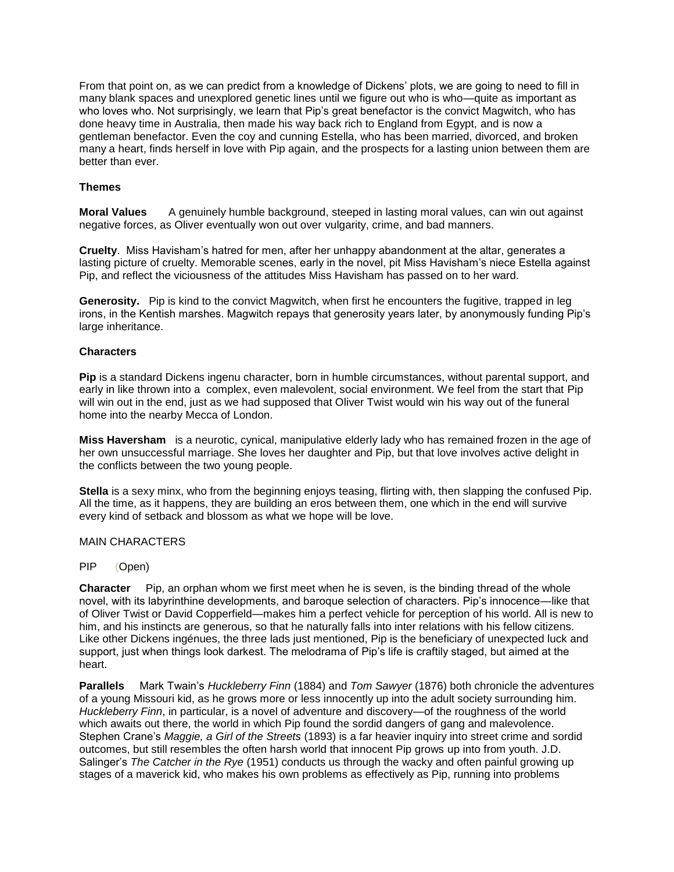From that point on, as we can predict from a knowledge of Dickens' plots, we are going to need to fill in many blank spaces and unexplored genetic lines until we figure out who is who—quite as important as who loves who. Not surprisingly, we learn that Pip's great benefactor is the convict Magwitch, who has done heavy time in Australia, then made his way back rich to England from Egypt, and is now a gentleman benefactor. Even the coy and cunning Estella, who has been married, divorced, and broken many a heart, finds herself in love with Pip again, and the prospects for a lasting union between them are better than ever.

### **Themes**

**Moral Values** A genuinely humble background, steeped in lasting moral values, can win out against negative forces, as Oliver eventually won out over vulgarity, crime, and bad manners.

**Cruelty**. Miss Havisham's hatred for men, after her unhappy abandonment at the altar, generates a lasting picture of cruelty. Memorable scenes, early in the novel, pit Miss Havisham's niece Estella against Pip, and reflect the viciousness of the attitudes Miss Havisham has passed on to her ward.

**Generosity.** Pip is kind to the convict Magwitch, when first he encounters the fugitive, trapped in leg irons, in the Kentish marshes. Magwitch repays that generosity years later, by anonymously funding Pip's large inheritance.

## **Characters**

**Pip** is a standard Dickens ingenu character, born in humble circumstances, without parental support, and early in like thrown into a complex, even malevolent, social environment. We feel from the start that Pip will win out in the end, just as we had supposed that Oliver Twist would win his way out of the funeral home into the nearby Mecca of London.

**Miss Haversham** is a neurotic, cynical, manipulative elderly lady who has remained frozen in the age of her own unsuccessful marriage. She loves her daughter and Pip, but that love involves active delight in the conflicts between the two young people.

**Stella** is a sexy minx, who from the beginning enjoys teasing, flirting with, then slapping the confused Pip. All the time, as it happens, they are building an eros between them, one which in the end will survive every kind of setback and blossom as what we hope will be love.

### MAIN CHARACTERS

### PIP (Open)

**Character** Pip, an orphan whom we first meet when he is seven, is the binding thread of the whole novel, with its labyrinthine developments, and baroque selection of characters. Pip's innocence—like that of Oliver Twist or David Copperfield—makes him a perfect vehicle for perception of his world. All is new to him, and his instincts are generous, so that he naturally falls into inter relations with his fellow citizens. Like other Dickens ingénues, the three lads just mentioned, Pip is the beneficiary of unexpected luck and support, just when things look darkest. The melodrama of Pip's life is craftily staged, but aimed at the heart.

**Parallels** Mark Twain's *Huckleberry Finn* (1884) and *Tom Sawyer* (1876) both chronicle the adventures of a young Missouri kid, as he grows more or less innocently up into the adult society surrounding him. *Huckleberry Finn*, in particular, is a novel of adventure and discovery—of the roughness of the world which awaits out there, the world in which Pip found the sordid dangers of gang and malevolence. Stephen Crane's *Maggie, a Girl of the Streets* (1893) is a far heavier inquiry into street crime and sordid outcomes, but still resembles the often harsh world that innocent Pip grows up into from youth. J.D. Salinger's *The Catcher in the Rye* (1951) conducts us through the wacky and often painful growing up stages of a maverick kid, who makes his own problems as effectively as Pip, running into problems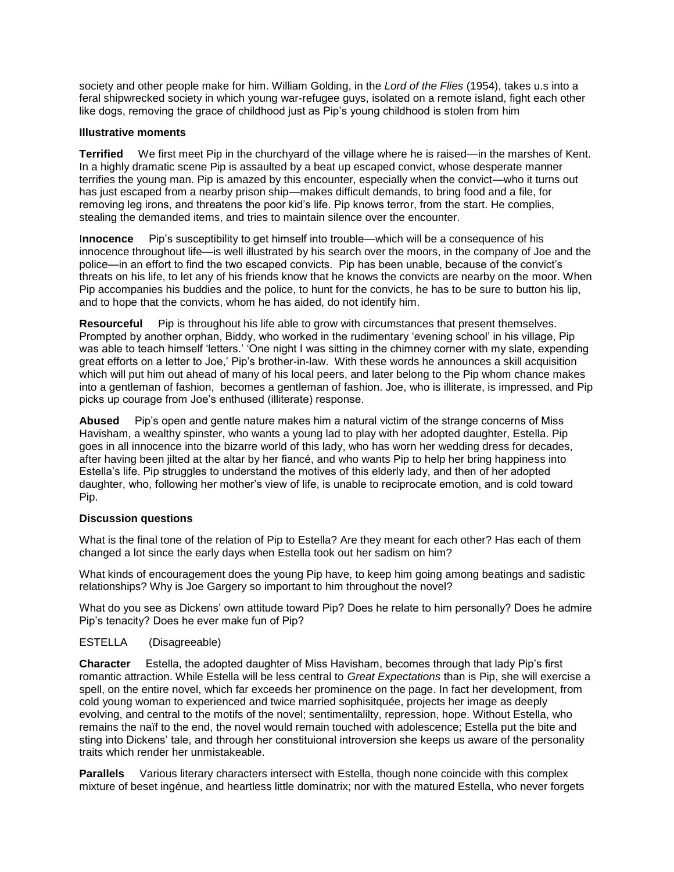society and other people make for him. William Golding, in the *Lord of the Flies* (1954), takes u.s into a feral shipwrecked society in which young war-refugee guys, isolated on a remote island, fight each other like dogs, removing the grace of childhood just as Pip's young childhood is stolen from him

## **Illustrative moments**

**Terrified** We first meet Pip in the churchyard of the village where he is raised—in the marshes of Kent. In a highly dramatic scene Pip is assaulted by a beat up escaped convict, whose desperate manner terrifies the young man. Pip is amazed by this encounter, especially when the convict—who it turns out has just escaped from a nearby prison ship—makes difficult demands, to bring food and a file, for removing leg irons, and threatens the poor kid's life. Pip knows terror, from the start. He complies, stealing the demanded items, and tries to maintain silence over the encounter.

I**nnocence** Pip's susceptibility to get himself into trouble—which will be a consequence of his innocence throughout life—is well illustrated by his search over the moors, in the company of Joe and the police—in an effort to find the two escaped convicts. Pip has been unable, because of the convict's threats on his life, to let any of his friends know that he knows the convicts are nearby on the moor. When Pip accompanies his buddies and the police, to hunt for the convicts, he has to be sure to button his lip, and to hope that the convicts, whom he has aided, do not identify him.

**Resourceful** Pip is throughout his life able to grow with circumstances that present themselves. Prompted by another orphan, Biddy, who worked in the rudimentary 'evening school' in his village, Pip was able to teach himself 'letters.' 'One night I was sitting in the chimney corner with my slate, expending great efforts on a letter to Joe,' Pip's brother-in-law. With these words he announces a skill acquisition which will put him out ahead of many of his local peers, and later belong to the Pip whom chance makes into a gentleman of fashion, becomes a gentleman of fashion. Joe, who is illiterate, is impressed, and Pip picks up courage from Joe's enthused (illiterate) response.

**Abused** Pip's open and gentle nature makes him a natural victim of the strange concerns of Miss Havisham, a wealthy spinster, who wants a young lad to play with her adopted daughter, Estella. Pip goes in all innocence into the bizarre world of this lady, who has worn her wedding dress for decades, after having been jilted at the altar by her fiancé, and who wants Pip to help her bring happiness into Estella's life. Pip struggles to understand the motives of this elderly lady, and then of her adopted daughter, who, following her mother's view of life, is unable to reciprocate emotion, and is cold toward Pip.

# **Discussion questions**

What is the final tone of the relation of Pip to Estella? Are they meant for each other? Has each of them changed a lot since the early days when Estella took out her sadism on him?

What kinds of encouragement does the young Pip have, to keep him going among beatings and sadistic relationships? Why is Joe Gargery so important to him throughout the novel?

What do you see as Dickens' own attitude toward Pip? Does he relate to him personally? Does he admire Pip's tenacity? Does he ever make fun of Pip?

# ESTELLA (Disagreeable)

**Character** Estella, the adopted daughter of Miss Havisham, becomes through that lady Pip's first romantic attraction. While Estella will be less central to *Great Expectations* than is Pip, she will exercise a spell, on the entire novel, which far exceeds her prominence on the page. In fact her development, from cold young woman to experienced and twice married sophisitquée, projects her image as deeply evolving, and central to the motifs of the novel; sentimentalilty, repression, hope. Without Estella, who remains the naïf to the end, the novel would remain touched with adolescence; Estella put the bite and sting into Dickens' tale, and through her constituional introversion she keeps us aware of the personality traits which render her unmistakeable.

**Parallels** Various literary characters intersect with Estella, though none coincide with this complex mixture of beset ingénue, and heartless little dominatrix; nor with the matured Estella, who never forgets